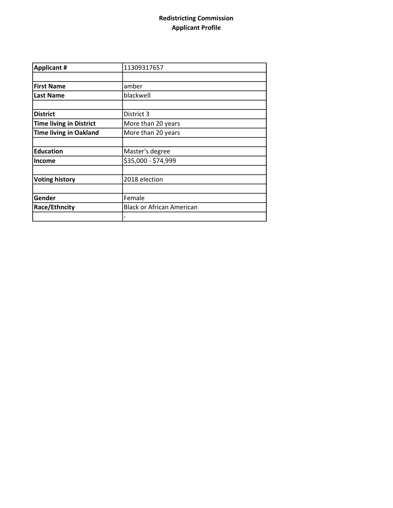## Redistricting Commission Applicant Profile

| <b>Applicant #</b>             | 11309317657                      |
|--------------------------------|----------------------------------|
|                                |                                  |
| <b>First Name</b>              | amber                            |
| <b>Last Name</b>               | blackwell                        |
|                                |                                  |
| <b>District</b>                | District 3                       |
| <b>Time living in District</b> | More than 20 years               |
| <b>Time living in Oakland</b>  | More than 20 years               |
|                                |                                  |
| <b>Education</b>               | Master's degree                  |
| <b>Income</b>                  | \$35,000 - \$74,999              |
|                                |                                  |
| <b>Voting history</b>          | 2018 election                    |
|                                |                                  |
| Gender                         | Female                           |
| Race/Ethncity                  | <b>Black or African American</b> |
|                                |                                  |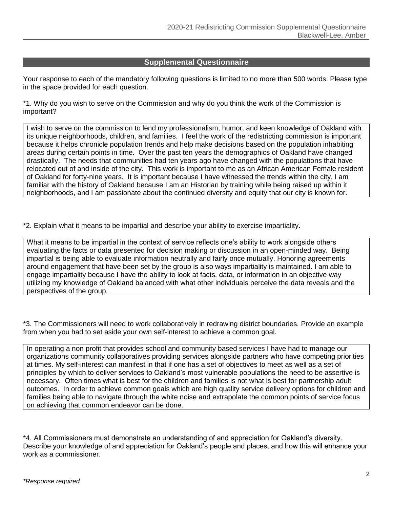## **Supplemental Questionnaire**

Your response to each of the mandatory following questions is limited to no more than 500 words. Please type in the space provided for each question.

\*1. Why do you wish to serve on the Commission and why do you think the work of the Commission is important?

I wish to serve on the commission to lend my professionalism, humor, and keen knowledge of Oakland with its unique neighborhoods, children, and families. I feel the work of the redistricting commission is important because it helps chronicle population trends and help make decisions based on the population inhabiting areas during certain points in time. Over the past ten years the demographics of Oakland have changed drastically. The needs that communities had ten years ago have changed with the populations that have relocated out of and inside of the city. This work is important to me as an African American Female resident of Oakland for forty-nine years. It is important because I have witnessed the trends within the city, I am familiar with the history of Oakland because I am an Historian by training while being raised up within it neighborhoods, and I am passionate about the continued diversity and equity that our city is known for.

\*2. Explain what it means to be impartial and describe your ability to exercise impartiality.

What it means to be impartial in the context of service reflects one's ability to work alongside others evaluating the facts or data presented for decision making or discussion in an open-minded way. Being impartial is being able to evaluate information neutrally and fairly once mutually. Honoring agreements around engagement that have been set by the group is also ways impartiality is maintained. I am able to engage impartiality because I have the ability to look at facts, data, or information in an objective way utilizing my knowledge of Oakland balanced with what other individuals perceive the data reveals and the perspectives of the group.

\*3. The Commissioners will need to work collaboratively in redrawing district boundaries. Provide an example from when you had to set aside your own self-interest to achieve a common goal.

In operating a non profit that provides school and community based services I have had to manage our organizations community collaboratives providing services alongside partners who have competing priorities at times. My self-interest can manifest in that if one has a set of objectives to meet as well as a set of principles by which to deliver services to Oakland's most vulnerable populations the need to be assertive is necessary. Often times what is best for the children and families is not what is best for partnership adult outcomes. In order to achieve common goals which are high quality service delivery options for children and families being able to navigate through the white noise and extrapolate the common points of service focus on achieving that common endeavor can be done.

\*4. All Commissioners must demonstrate an understanding of and appreciation for Oakland's diversity. Describe your knowledge of and appreciation for Oakland's people and places, and how this will enhance your work as a commissioner.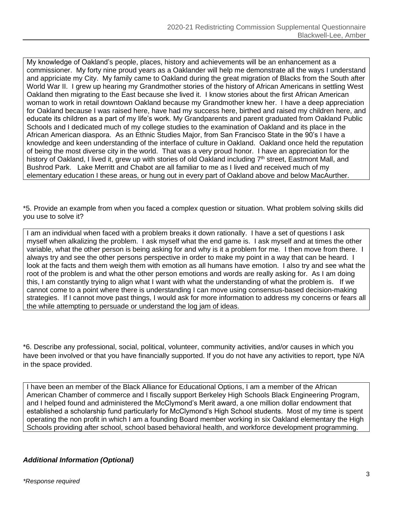My knowledge of Oakland's people, places, history and achievements will be an enhancement as a commissioner. My forty nine proud years as a Oaklander will help me demonstrate all the ways I understand and appriciate my City. My family came to Oakland during the great migration of Blacks from the South after World War II. I grew up hearing my Grandmother stories of the history of African Americans in settling West Oakland then migrating to the East because she lived it. I know stories about the first African American woman to work in retail downtown Oakland because my Grandmother knew her. I have a deep appreciation for Oakland because I was raised here, have had my success here, birthed and raised my children here, and educate its children as a part of my life's work. My Grandparents and parent graduated from Oakland Public Schools and I dedicated much of my college studies to the examination of Oakland and its place in the African American diaspora. As an Ethnic Studies Major, from San Francisco State in the 90's I have a knowledge and keen understanding of the interface of culture in Oakland. Oakland once held the reputation of being the most diverse city in the world. That was a very proud honor. I have an appreciation for the history of Oakland, I lived it, grew up with stories of old Oakland including 7<sup>th</sup> street, Eastmont Mall, and Bushrod Park. Lake Merritt and Chabot are all familiar to me as I lived and received much of my elementary education I these areas, or hung out in every part of Oakland above and below MacAurther.

\*5. Provide an example from when you faced a complex question or situation. What problem solving skills did you use to solve it?

I am an individual when faced with a problem breaks it down rationally. I have a set of questions I ask myself when alkalizing the problem. I ask myself what the end game is. I ask myself and at times the other variable, what the other person is being asking for and why is it a problem for me. I then move from there. I always try and see the other persons perspective in order to make my point in a way that can be heard. I look at the facts and them weigh them with emotion as all humans have emotion. I also try and see what the root of the problem is and what the other person emotions and words are really asking for. As I am doing this, I am constantly trying to align what I want with what the understanding of what the problem is. If we cannot come to a point where there is understanding I can move using consensus-based decision-making strategies. If I cannot move past things, I would ask for more information to address my concerns or fears all the while attempting to persuade or understand the log jam of ideas.

\*6. Describe any professional, social, political, volunteer, community activities, and/or causes in which you have been involved or that you have financially supported. If you do not have any activities to report, type N/A in the space provided.

I have been an member of the Black Alliance for Educational Options, I am a member of the African American Chamber of commerce and I fiscally support Berkeley High Schools Black Engineering Program, and I helped found and administered the McClymond's Merit award, a one million dollar endowment that established a scholarship fund particularly for McClymond's High School students. Most of my time is spent operating the non profit in which I am a founding Board member working in six Oakland elementary the High Schools providing after school, school based behavioral health, and workforce development programming.

## *Additional Information (Optional)*